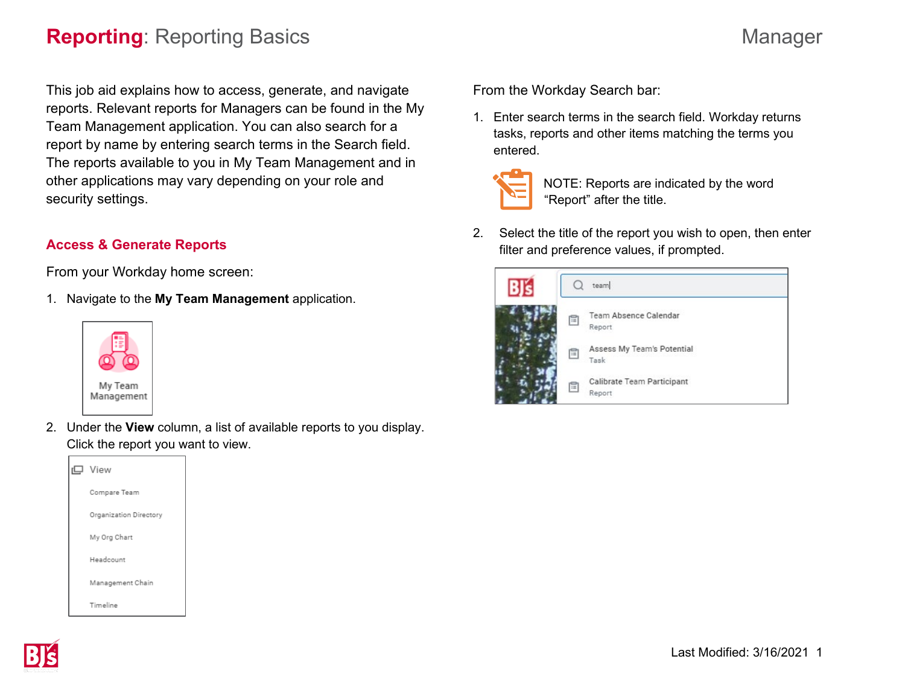# **Reporting**: Reporting Basics Manager

This job aid explains how to access, generate, and navigate reports. Relevant reports for Managers can be found in the My Team Management application. You can also search for a report by name by entering search terms in the Search field. The reports available to you in My Team Management and in other applications may vary depending on your role and security settings.

# **Access & Generate Reports**

From your Workday home screen:

1. Navigate to the **My Team Management** application.



2. Under the **View** column, a list of available reports to you display. Click the report you want to view.

| r口 View                |
|------------------------|
| Compare Team           |
| Organization Directory |
| My Org Chart           |
| Headcount              |
| Management Chain       |
| Timeline               |

From the Workday Search bar:

1. Enter search terms in the search field. Workday returns tasks, reports and other items matching the terms you entered.



NOTE: Reports are indicated by the word "Report" after the title.

2. Select the title of the report you wish to open, then enter filter and preference values, if prompted.

|   | team                                   |
|---|----------------------------------------|
| E | <b>Team Absence Calendar</b><br>Report |
| 旧 | Assess My Team's Potential<br>Task     |
| 旧 | Calibrate Team Participant<br>Report   |

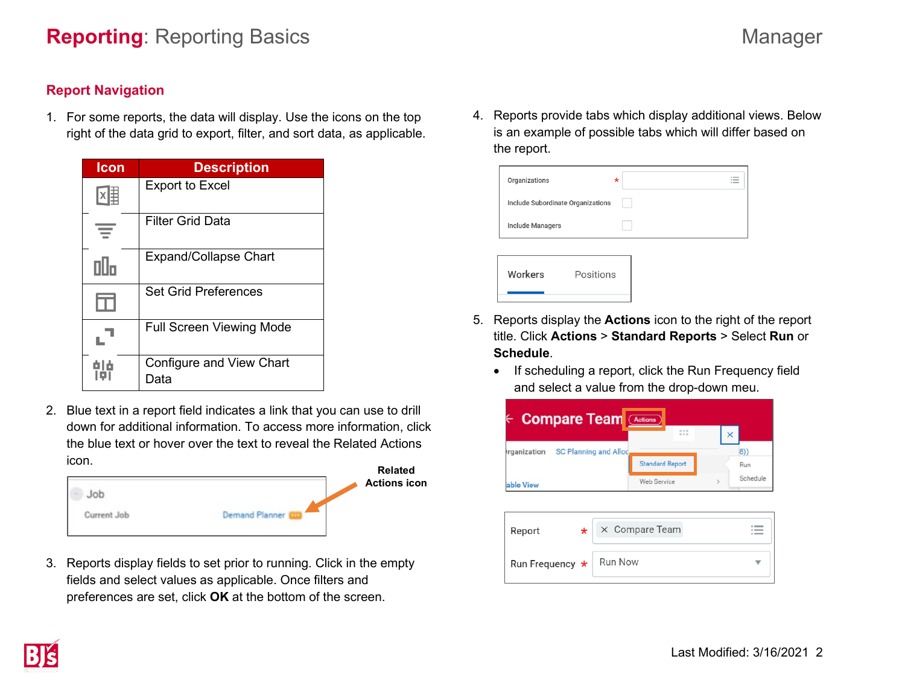## **Report Navigation**

1. For some reports, the data will display. Use the icons on the top right of the data grid to export, filter, and sort data, as applicable.

| Icon | <b>Description</b>               |
|------|----------------------------------|
|      | <b>Export to Excel</b>           |
|      | Filter Grid Data                 |
| Пllп | <b>Expand/Collapse Chart</b>     |
| ш    | <b>Set Grid Preferences</b>      |
|      | <b>Full Screen Viewing Mode</b>  |
|      | Configure and View Chart<br>Data |

2. Blue text in a report field indicates a link that you can use to drill down for additional information. To access more information, click the blue text or hover over the text to reveal the Related Actions icon.

|             | Related             |
|-------------|---------------------|
|             | <b>Actions icon</b> |
| Current Job | Demand Planner      |

3. Reports display fields to set prior to running. Click in the empty fields and select values as applicable. Once filters and preferences are set, click **OK** at the bottom of the screen.

4. Reports provide tabs which display additional views. Below is an example of possible tabs which will differ based on the report.

| Organizations                     | $\sim$ $-$<br>*<br>$\overline{\phantom{0}}$ |
|-----------------------------------|---------------------------------------------|
| Include Subordinate Organizations |                                             |
|                                   |                                             |
| Include Managers                  |                                             |
|                                   |                                             |
| Workers<br>Positions              |                                             |

- 5. Reports display the **Actions** icon to the right of the report title. Click **Actions** > **Standard Reports** > Select **Run** or **Schedule**.
	- If scheduling a report, click the Run Frequency field and select a value from the drop-down meu.

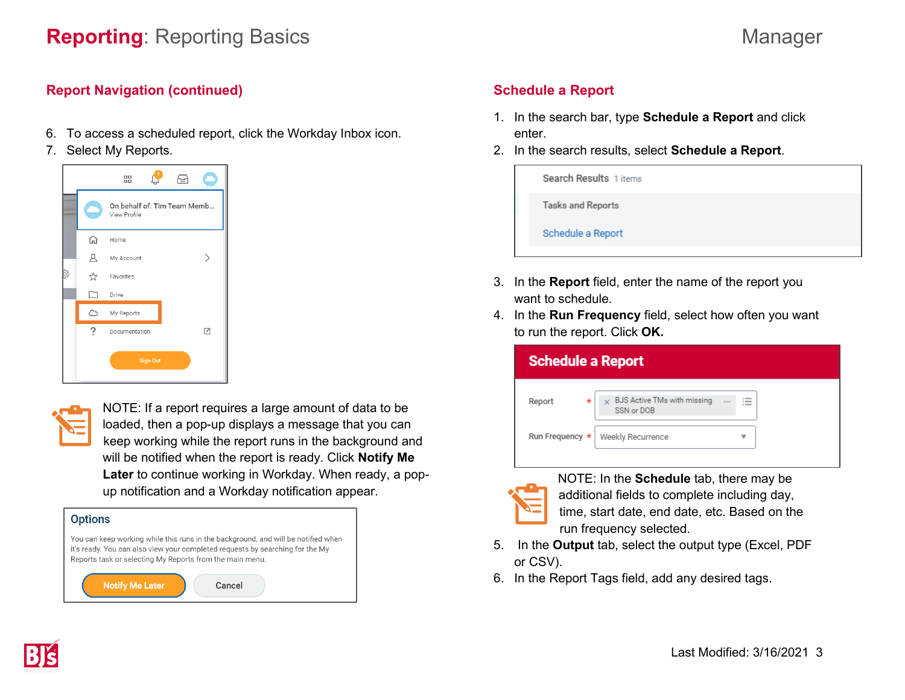### **Report Navigation (continued)**

- 6. To access a scheduled report, click the Workday Inbox icon.
- 7. Select My Reports.





NOTE: If a report requires a large amount of data to be loaded, then a pop-up displays a message that you can keep working while the report runs in the background and will be notified when the report is ready. Click **Notify Me Later** to continue working in Workday. When ready, a popup notification and a Workday notification appear.

| <b>Options</b>                                                                                                                                                                                                                 |  |  |  |  |
|--------------------------------------------------------------------------------------------------------------------------------------------------------------------------------------------------------------------------------|--|--|--|--|
| You can keep working while this runs in the background, and will be notified when<br>it's ready. You can also view your completed requests by searching for the My<br>Reports task or selecting My Reports from the main menu. |  |  |  |  |
| <b>Notify Me Later</b><br>Cancel                                                                                                                                                                                               |  |  |  |  |

# **Schedule a Report**

- 1. In the search bar, type **Schedule a Report** and click enter.
- 2. In the search results, select **Schedule a Report**.

| Search Results 1 items   |
|--------------------------|
| <b>Tasks and Reports</b> |
| Schedule a Report        |
|                          |

- 3. In the **Report** field, enter the name of the report you want to schedule.
- 4. In the **Run Frequency** field, select how often you want to run the report. Click **OK.**

| <b>Schedule a Report</b> |                                                    |                     |  |
|--------------------------|----------------------------------------------------|---------------------|--|
| $^\star$<br>Report       | $\times$ BJS Active TMs with missing<br>SSN or DOB | $1.1 +$<br>$\cdots$ |  |
| Run Frequency *          | Weekly Recurrence                                  |                     |  |
|                          |                                                    |                     |  |



NOTE: In the **Schedule** tab, there may be additional fields to complete including day, time, start date, end date, etc. Based on the run frequency selected.

- 5. In the **Output** tab, select the output type (Excel, PDF or CSV).
- 6. In the Report Tags field, add any desired tags.